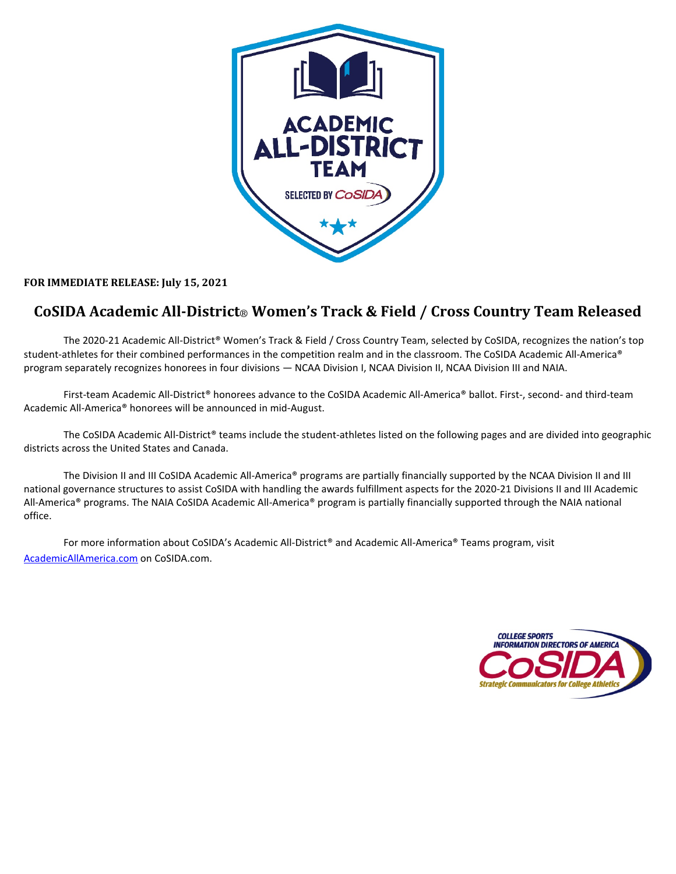

### **FOR IMMEDIATE RELEASE: July 15, 2021**

## **CoSIDA Academic All-District**® **Women's Track & Field / Cross Country Team Released**

The 2020-21 Academic All-District® Women's Track & Field / Cross Country Team, selected by CoSIDA, recognizes the nation's top student-athletes for their combined performances in the competition realm and in the classroom. The CoSIDA Academic All-America® program separately recognizes honorees in four divisions — NCAA Division I, NCAA Division II, NCAA Division III and NAIA.

First-team Academic All-District® honorees advance to the CoSIDA Academic All-America® ballot. First-, second- and third-team Academic All-America® honorees will be announced in mid-August.

The CoSIDA Academic All-District® teams include the student-athletes listed on the following pages and are divided into geographic districts across the United States and Canada.

The Division II and III CoSIDA Academic All-America® programs are partially financially supported by the NCAA Division II and III national governance structures to assist CoSIDA with handling the awards fulfillment aspects for the 2020-21 Divisions II and III Academic All-America® programs. The NAIA CoSIDA Academic All-America® program is partially financially supported through the NAIA national office.

For more information about CoSIDA's Academic All-District<sup>®</sup> and Academic All-America<sup>®</sup> Teams program, visit [AcademicAllAmerica.com](http://academicallamerica.com/) on CoSIDA.com.

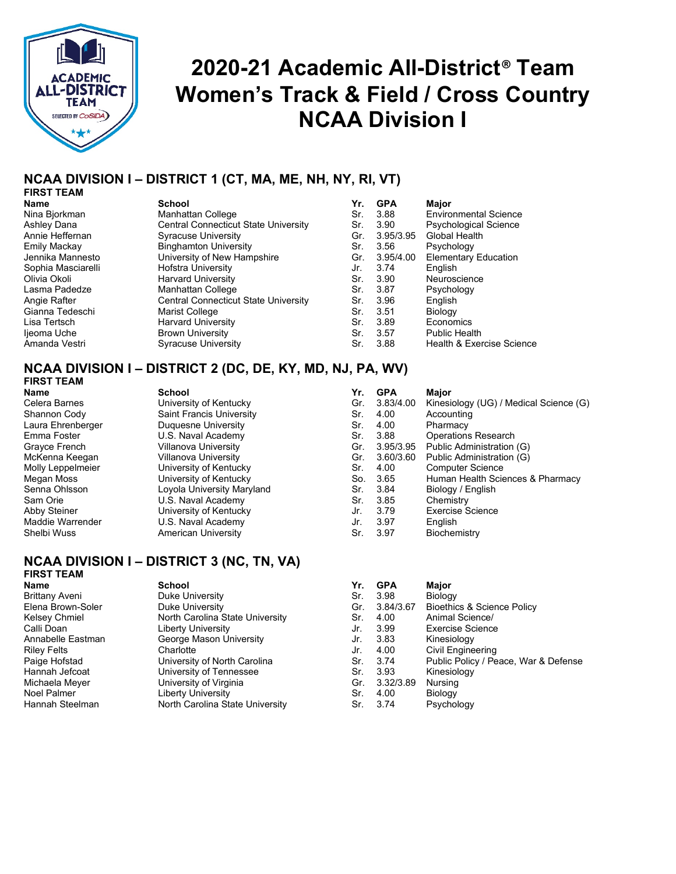

## **2020-21 Academic All-District**® **Team Women's Track & Field / Cross Country NCAA Division I**

#### **NCAA DIVISION I – DISTRICT 1 (CT, MA, ME, NH, NY, RI, VT) FIRST TEAM**

| Name                |
|---------------------|
| Nina Bjorkman       |
| Ashley Dana         |
| Annie Heffernan     |
| <b>Emily Mackay</b> |
| Jennika Mannesto    |
| Sophia Masciarelli  |
| Olivia Okoli        |
| Lasma Padedze       |
| Angie Rafter        |
| Gianna Tedeschi     |
| Lisa Tertsch        |
| Ijeoma Uche         |
| Amanda Vestri       |
|                     |

| Name               | <b>School</b>                               | Yr. | <b>GPA</b> | Maior                        |
|--------------------|---------------------------------------------|-----|------------|------------------------------|
| Nina Bjorkman      | Manhattan College                           | Sr. | 3.88       | <b>Environmental Science</b> |
| Ashley Dana        | Central Connecticut State University        | Sr. | 3.90       | <b>Psychological Science</b> |
| Annie Heffernan    | Syracuse University                         | Gr. | 3.95/3.95  | Global Health                |
| Emily Mackay       | <b>Binghamton University</b>                | Sr. | 3.56       | Psychology                   |
| Jennika Mannesto   | University of New Hampshire                 | Gr. | 3.95/4.00  | <b>Elementary Education</b>  |
| Sophia Masciarelli | Hofstra University                          | Jr. | 3.74       | English                      |
| Olivia Okoli       | <b>Harvard University</b>                   | Sr. | 3.90       | Neuroscience                 |
| Lasma Padedze      | Manhattan College                           | Sr. | 3.87       | Psychology                   |
| Angie Rafter       | <b>Central Connecticut State University</b> | Sr. | 3.96       | English                      |
| Gianna Tedeschi    | Marist College                              | Sr. | 3.51       | Biology                      |
| Lisa Tertsch       | <b>Harvard University</b>                   | Sr. | 3.89       | Economics                    |
| ljeoma Uche        | <b>Brown University</b>                     | Sr. | 3.57       | <b>Public Health</b>         |
| Amanda Vestri      | <b>Syracuse University</b>                  | Sr. | 3.88       | Health & Exercise Science    |
|                    |                                             |     |            |                              |

| Name               | <b>School</b>                               | Yr. | <b>GPA</b> | Major                        |
|--------------------|---------------------------------------------|-----|------------|------------------------------|
| Nina Bjorkman      | Manhattan College                           | Sr. | 3.88       | <b>Environmental Science</b> |
| Ashley Dana        | <b>Central Connecticut State University</b> | Sr. | 3.90       | Psychological Science        |
| Annie Heffernan    | Syracuse University                         | Gr. | 3.95/3.95  | Global Health                |
| Emily Mackay       | <b>Binghamton University</b>                | Sr. | 3.56       | Psychology                   |
| Jennika Mannesto   | University of New Hampshire                 | Gr. | 3.95/4.00  | <b>Elementary Education</b>  |
| Sophia Masciarelli | <b>Hofstra University</b>                   | Jr. | 3.74       | English                      |
| Olivia Okoli       | <b>Harvard University</b>                   | Sr. | 3.90       | Neuroscience                 |
| Lasma Padedze      | Manhattan College                           | Sr. | 3.87       | Psychology                   |
| Angie Rafter       | Central Connecticut State University        | Sr. | 3.96       | English                      |
| Gianna Tedeschi    | Marist College                              | Sr. | 3.51       | Biology                      |
| Lisa Tertsch.      | <b>Harvard University</b>                   | Sr. | 3.89       | Economics                    |
| ljeoma Uche        | <b>Brown University</b>                     | Sr. | 3.57       | Public Health                |
| Amanda Vestri      | <b>Syracuse University</b>                  | Sr. | 3.88       | Health & Exercise Sciend     |

## **NCAA DIVISION I – DISTRICT 2 (DC, DE, KY, MD, NJ, PA, WV)**

**FIRST TEAM**

Laura Ehrenberger Duquesne University Sr. 4.00 Pharmacy Molly Leppelmeier University of Kentucky Sr. 4.00 Computer Science Loyola University Maryland American University Sr. 3.97 Biochemistry

## **Name School Yr. GPA Major** Celera Barnes **The Celera Barnes** University of Kentucky Gr. 3.83/4.00 Kinesiology (UG) / Medical Science (G) Shannon Cody Saint Francis University Shannon Cody Shannon Cody Saint Francis University Sr. 4.00 Accounting Emma Foster **Emma Foster Constructs COVID-ST**<br>Grayce French **Stephen Stephen Constructs Coveration**<br>Gr. 3.95/3.95 Public Administration Grayce French Villanova University Gr. 3.95/3.95 Public Administration (G) McKenna Keegan Villanova University Gr. 3.60/3.60 Public Administration (G) Megan Moss University of Kentucky So. 3.65 Human Health Sciences & Pharmacy Sam Orie **Sam Orie Exam Academy** Sr. 3.85 Chemistry Abby Steiner University of Kentucky Jr. 3.79 Exercise Science Maddie Warrender U.S. Naval Academy Jr. 3.97 English

## **NCAA DIVISION I – DISTRICT 3 (NC, TN, VA)**

## **FIRST TEAM**

| <b>Name</b>           | <b>School</b>                   | Yr. | <b>GPA</b> | Major                                |
|-----------------------|---------------------------------|-----|------------|--------------------------------------|
| <b>Brittany Aveni</b> | Duke University                 | Sr. | 3.98       | Biology                              |
| Elena Brown-Soler     | Duke University                 | Gr. | 3.84/3.67  | Bioethics & Science Policy           |
| Kelsey Chmiel         | North Carolina State University | Sr. | 4.00       | Animal Science/                      |
| Calli Doan            | <b>Liberty University</b>       | Jr. | 3.99       | Exercise Science                     |
| Annabelle Eastman     | George Mason University         | Jr. | 3.83       | Kinesiology                          |
| <b>Riley Felts</b>    | Charlotte                       | Jr. | 4.00       | Civil Engineering                    |
| Paige Hofstad         | University of North Carolina    | Sr. | 3.74       | Public Policy / Peace, War & Defense |
| Hannah Jefcoat        | University of Tennessee         | Sr. | 3.93       | Kinesiology                          |
| Michaela Meyer        | University of Virginia          | Gr. | 3.32/3.89  | Nursing                              |
| Noel Palmer           | Liberty University              | Sr. | 4.00       | Biology                              |
| Hannah Steelman       | North Carolina State University | Sr. | 3.74       | Psychology                           |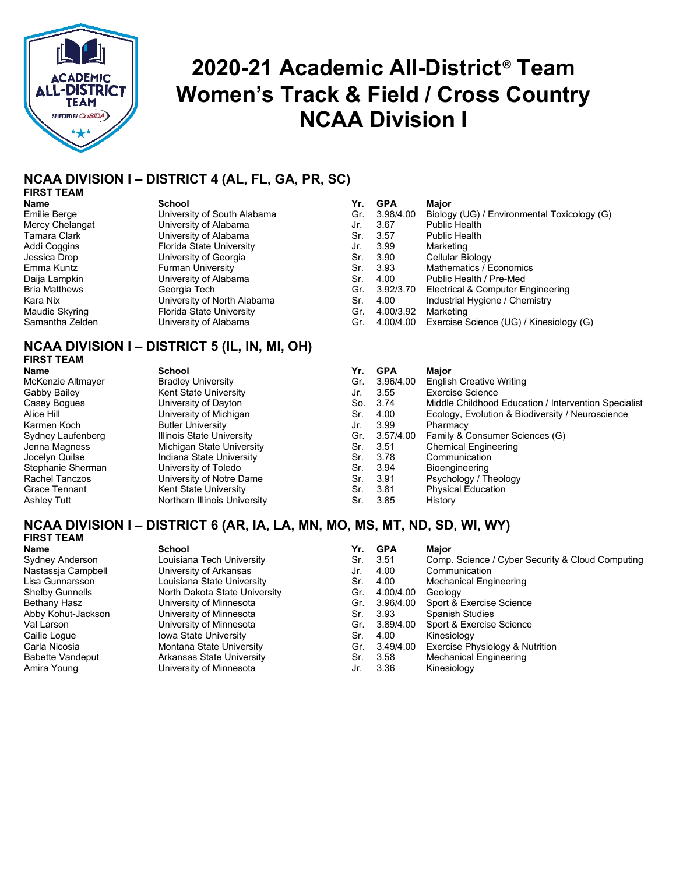

## **2020-21 Academic All-District**® **Team Women's Track & Field / Cross Country NCAA Division I**

## **NCAA DIVISION I – DISTRICT 4 (AL, FL, GA, PR, SC)**

## **FIRST TEAM**

| uuuu                            |
|---------------------------------|
| University of South Alabama     |
| University of Alabama           |
| University of Alabama           |
| <b>Florida State University</b> |
| University of Georgia           |
| <b>Furman University</b>        |
| University of Alabama           |
| Georgia Tech                    |
| University of North Alabama     |
| <b>Florida State University</b> |
| University of Alabama           |

## **NCAA DIVISION I – DISTRICT 5 (IL, IN, MI, OH)**

# **FIRST TEAM**

## **Name School Yr. GPA Major** McKenzie Altmayer Bradley University Alice Hill The University of Michigan Sarmen Kochogy, Europe Butler University of Michigan Sydney Laufenberg Illinois State University<br>Jenna Magness **Internal Science Consumer Science (G)** Jenna Magness Michigan State University<br>Jocelyn Quilse State University Jocelyn Quilse Indiana State University<br>
Stephanie Sherman<br>
University of Toledo Rachel Tanczos **University of Notre Dame**<br>
Grace Tennant **Notal State University** Kent State University

| <b>Name</b>          | <b>School</b>               | Yr. | <b>GPA</b> | <b>Major</b>                                |
|----------------------|-----------------------------|-----|------------|---------------------------------------------|
| <b>Emilie Berge</b>  | University of South Alabama | Gr. | 3.98/4.00  | Biology (UG) / Environmental Toxicology (G) |
| Mercy Chelangat      | University of Alabama       | Jr. | 3.67       | <b>Public Health</b>                        |
| Tamara Clark         | University of Alabama       | Sr. | 3.57       | Public Health                               |
| Addi Coggins         | Florida State University    | Jr. | 3.99       | Marketing                                   |
| Jessica Drop         | University of Georgia       | Sr. | 3.90       | Cellular Biology                            |
| Emma Kuntz           | <b>Furman University</b>    | Sr. | 3.93       | Mathematics / Economics                     |
| Daija Lampkin        | University of Alabama       | Sr. | 4.00       | Public Health / Pre-Med                     |
| <b>Bria Matthews</b> | Georgia Tech                | Gr. | 3.92/3.70  | Electrical & Computer Engineering           |
| Kara Nix             | University of North Alabama | Sr. | 4.00       | Industrial Hygiene / Chemistry              |
| Maudie Skyring       | Florida State University    | Gr. | 4.00/3.92  | Marketing                                   |
| Samantha Zelden      | University of Alabama       | Gr. | 4.00/4.00  | Exercise Science (UG) / Kinesiology (G)     |

| <b>Name</b>        | School                       | Yr. | <b>GPA</b> | Maior                                                |
|--------------------|------------------------------|-----|------------|------------------------------------------------------|
| McKenzie Altmayer  | <b>Bradley University</b>    | Gr. | 3.96/4.00  | <b>English Creative Writing</b>                      |
| Gabby Bailey       | Kent State University        | Jr. | 3.55       | <b>Exercise Science</b>                              |
| Casey Bogues       | University of Dayton         | So. | 3.74       | Middle Childhood Education / Intervention Specialist |
| Alice Hill         | University of Michigan       | Sr. | 4.00       | Ecology, Evolution & Biodiversity / Neuroscience     |
| Karmen Koch        | <b>Butler University</b>     | Jr. | 3.99       | Pharmacy                                             |
| Sydney Laufenberg  | Illinois State University    | Gr. | 3.57/4.00  | Family & Consumer Sciences (G)                       |
| Jenna Magness      | Michigan State University    | Sr. | -3.51      | <b>Chemical Engineering</b>                          |
| Jocelyn Quilse     | Indiana State University     | Sr. | 3.78       | Communication                                        |
| Stephanie Sherman  | University of Toledo         | Sr. | 3.94       | <b>Bioengineering</b>                                |
| Rachel Tanczos     | University of Notre Dame     | Sr. | -3.91      | Psychology / Theology                                |
| Grace Tennant      | Kent State University        | Sr. | 3.81       | <b>Physical Education</b>                            |
| <b>Ashley Tutt</b> | Northern Illinois University | Sr. | 3.85       | History                                              |

### **NCAA DIVISION I – DISTRICT 6 (AR, IA, LA, MN, MO, MS, MT, ND, SD, WI, WY) FIRST TEAM**

| Name               | <b>School</b>                 | Yr. | <b>GPA</b> | Maior                                            |
|--------------------|-------------------------------|-----|------------|--------------------------------------------------|
| Sydney Anderson    | Louisiana Tech University     | Sr. | 3.51       | Comp. Science / Cyber Security & Cloud Computing |
| Nastassia Campbell | University of Arkansas        | Jr. | 4.00       | Communication                                    |
| Lisa Gunnarsson    | Louisiana State University    | Sr. | 4.00       | <b>Mechanical Engineering</b>                    |
| Shelby Gunnells    | North Dakota State University | Gr. | 4.00/4.00  | Geology                                          |
| Bethany Hasz       | University of Minnesota       | Gr. | 3.96/4.00  | Sport & Exercise Science                         |
| Abby Kohut-Jackson | University of Minnesota       | Sr. | 3.93       | <b>Spanish Studies</b>                           |
| Val Larson         | University of Minnesota       | Gr. | 3.89/4.00  | Sport & Exercise Science                         |
| Cailie Logue       | <b>Iowa State University</b>  | Sr. | 4.00       | Kinesiology                                      |
| Carla Nicosia      | Montana State University      | Gr. | 3.49/4.00  | Exercise Physiology & Nutrition                  |
| Babette Vandeput   | Arkansas State University     | Sr. | 3.58       | <b>Mechanical Engineering</b>                    |
| Amira Young        | University of Minnesota       | Jr. | 3.36       | Kinesiology                                      |
|                    |                               |     |            |                                                  |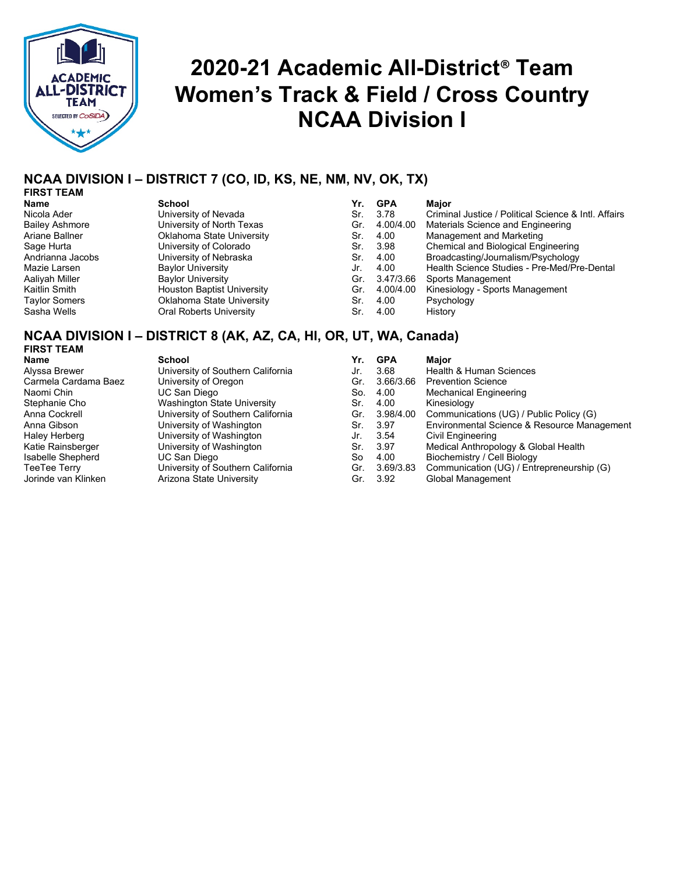

## **2020-21 Academic All-District**® **Team Women's Track & Field / Cross Country NCAA Division I**

## **NCAA DIVISION I – DISTRICT 7 (CO, ID, KS, NE, NM, NV, OK, TX)**

## **FIRST TEAM**

Bailey Ashmore<br>Ariane Ballner Andrianna Jacobs<br>Mazie Larsen Aaliyah Miller<br>Kaitlin Smith Taylor Somers Sasha Wells

| Name             | <b>School</b>                     | Yr. | GPA       | Maior                                                |
|------------------|-----------------------------------|-----|-----------|------------------------------------------------------|
| Nicola Ader      | University of Nevada              | Sr. | 3.78      | Criminal Justice / Political Science & Intl. Affairs |
| Bailey Ashmore   | University of North Texas         | Gr. | 4.00/4.00 | Materials Science and Engineering                    |
| Ariane Ballner   | Oklahoma State University         | Sr. | 4.00      | Management and Marketing                             |
| Sage Hurta       | University of Colorado            | Sr. | 3.98      | Chemical and Biological Engineering                  |
| Andrianna Jacobs | University of Nebraska            | Sr. | 4.00      | Broadcasting/Journalism/Psychology                   |
| Mazie Larsen     | <b>Baylor University</b>          | Jr. | 4.00      | Health Science Studies - Pre-Med/Pre-Dental          |
| Aaliyah Miller   | <b>Baylor University</b>          | Gr. | 3.47/3.66 | Sports Management                                    |
| Kaitlin Smith.   | <b>Houston Baptist University</b> | Gr. | 4.00/4.00 | Kinesiology - Sports Management                      |
| Taylor Somers    | Oklahoma State University         | Sr. | 4.00      | Psychology                                           |
| Sasha Wells      | Oral Roberts University           | Sr. | 4.00      | History                                              |

## **NCAA DIVISION I – DISTRICT 8 (AK, AZ, CA, HI, OR, UT, WA, Canada)**

## **FIRST TEAM**

| Name                 | <b>School</b>                     | Yr. | <b>GPA</b> | <b>Maior</b>                                |
|----------------------|-----------------------------------|-----|------------|---------------------------------------------|
| Alyssa Brewer        | University of Southern California | Jr. | 3.68       | Health & Human Sciences                     |
| Carmela Cardama Baez | University of Oregon              | Gr. | 3.66/3.66  | <b>Prevention Science</b>                   |
| Naomi Chin           | UC San Diego                      | So. | 4.00       | <b>Mechanical Engineering</b>               |
| Stephanie Cho        | Washington State University       | Sr. | 4.00       | Kinesiology                                 |
| Anna Cockrell        | University of Southern California | Gr. | 3.98/4.00  | Communications (UG) / Public Policy (G)     |
| Anna Gibson          | University of Washington          | Sr. | 3.97       | Environmental Science & Resource Management |
| Haley Herberg        | University of Washington          | Jr. | 3.54       | Civil Engineering                           |
| Katie Rainsberger    | University of Washington          | Sr. | -3.97      | Medical Anthropology & Global Health        |
| Isabelle Shepherd    | UC San Diego                      | So  | 4.00       | Biochemistry / Cell Biology                 |
| TeeTee Terry         | University of Southern California | Gr. | 3.69/3.83  | Communication (UG) / Entrepreneurship (G)   |
| Jorinde van Klinken  | Arizona State University          | Gr. | 3.92       | Global Management                           |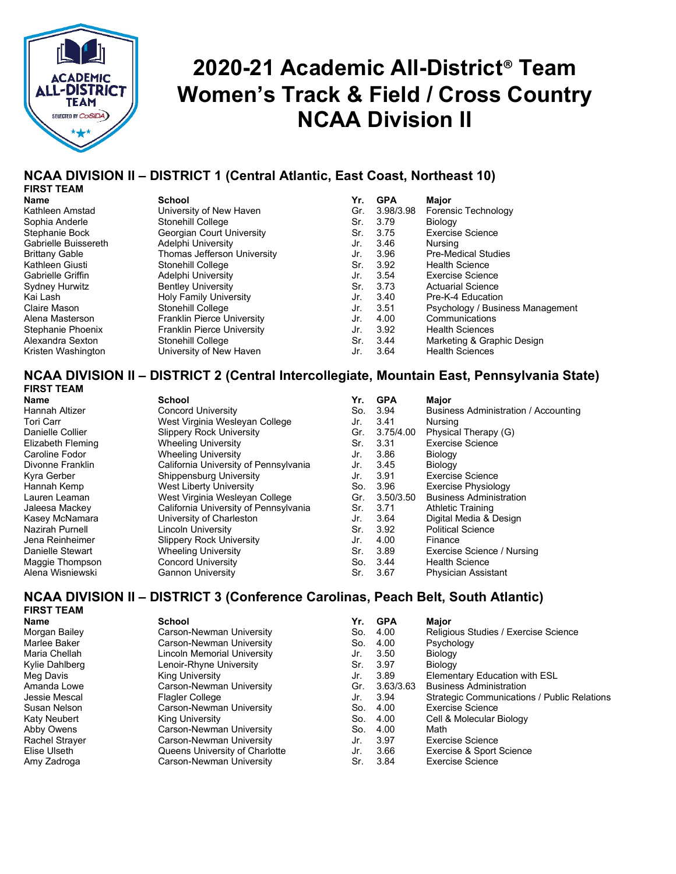

## **2020-21 Academic All-District**® **Team Women's Track & Field / Cross Country NCAA Division II**

## **NCAA DIVISION II – DISTRICT 1 (Central Atlantic, East Coast, Northeast 10)**

## **FIRST TEAM**

| .                        |                                   |     |            |                                  |
|--------------------------|-----------------------------------|-----|------------|----------------------------------|
| Name                     | <b>School</b>                     | Yr. | <b>GPA</b> | Major                            |
| Kathleen Amstad          | University of New Haven           | Gr. | 3.98/3.98  | Forensic Technology              |
| Sophia Anderle           | <b>Stonehill College</b>          | Sr. | 3.79       | Biology                          |
| Stephanie Bock           | Georgian Court University         | Sr. | 3.75       | <b>Exercise Science</b>          |
| Gabrielle Buissereth     | Adelphi University                | Jr. | 3.46       | Nursina                          |
| <b>Brittany Gable</b>    | Thomas Jefferson University       | Jr. | 3.96       | <b>Pre-Medical Studies</b>       |
| Kathleen Giusti          | Stonehill College                 | Sr. | 3.92       | <b>Health Science</b>            |
| <b>Gabrielle Griffin</b> | Adelphi University                | Jr. | 3.54       | <b>Exercise Science</b>          |
| <b>Sydney Hurwitz</b>    | <b>Bentley University</b>         | Sr. | 3.73       | <b>Actuarial Science</b>         |
| Kai Lash                 | <b>Holy Family University</b>     | Jr. | 3.40       | Pre-K-4 Education                |
| Claire Mason             | Stonehill College                 | Jr. | 3.51       | Psychology / Business Management |
| Alena Masterson          | Franklin Pierce University        | Jr. | 4.00       | Communications                   |
| Stephanie Phoenix        | <b>Franklin Pierce University</b> | Jr. | 3.92       | <b>Health Sciences</b>           |
| Alexandra Sexton         | Stonehill College                 | Sr. | 3.44       | Marketing & Graphic Design       |
| Kristen Washington       | University of New Haven           | Jr. | 3.64       | <b>Health Sciences</b>           |

## **NCAA DIVISION II – DISTRICT 2 (Central Intercollegiate, Mountain East, Pennsylvania State)**

| 1 1117.1 I LAM         |                                       |     |            |                                      |
|------------------------|---------------------------------------|-----|------------|--------------------------------------|
| Name                   | School                                | Yr. | <b>GPA</b> | Major                                |
| Hannah Altizer         | <b>Concord University</b>             | So. | 3.94       | Business Administration / Accounting |
| Tori Carr              | West Virginia Wesleyan College        | Jr. | 3.41       | Nursing                              |
| Danielle Collier       | <b>Slippery Rock University</b>       | Gr. | 3.75/4.00  | Physical Therapy (G)                 |
| Elizabeth Fleming      | <b>Wheeling University</b>            | Sr. | 3.31       | <b>Exercise Science</b>              |
| Caroline Fodor         | <b>Wheeling University</b>            | Jr. | 3.86       | Biology                              |
| Divonne Franklin       | California University of Pennsylvania | Jr. | 3.45       | Biology                              |
| Kyra Gerber            | Shippensburg University               | Jr. | 3.91       | Exercise Science                     |
| Hannah Kemp            | West Liberty University               | So. | 3.96       | Exercise Physiology                  |
| Lauren Leaman          | West Virginia Wesleyan College        | Gr. | 3.50/3.50  | <b>Business Administration</b>       |
| Jaleesa Mackey         | California University of Pennsylvania | Sr. | 3.71       | <b>Athletic Training</b>             |
| Kasey McNamara         | University of Charleston              | Jr. | 3.64       | Digital Media & Design               |
| <b>Nazirah Purnell</b> | Lincoln University                    | Sr. | 3.92       | <b>Political Science</b>             |
| Jena Reinheimer        | <b>Slippery Rock University</b>       | Jr. | 4.00       | Finance                              |
| Danielle Stewart       | <b>Wheeling University</b>            | Sr. | 3.89       | Exercise Science / Nursing           |
| Maggie Thompson        | <b>Concord University</b>             | So. | 3.44       | <b>Health Science</b>                |
| Alena Wisniewski       | <b>Gannon University</b>              | Sr. | 3.67       | <b>Physician Assistant</b>           |

## **NCAA DIVISION II – DISTRICT 3 (Conference Carolinas, Peach Belt, South Atlantic)**

**FIRST TEAM**

| Name           | <b>School</b>                  | Yr. | GPA       | Major                                       |
|----------------|--------------------------------|-----|-----------|---------------------------------------------|
| Morgan Bailey  | Carson-Newman University       | So. | 4.00      | Religious Studies / Exercise Science        |
| Marlee Baker   | Carson-Newman University       | So. | 4.00      | Psychology                                  |
| Maria Chellah  | Lincoln Memorial University    | Jr. | 3.50      | Biology                                     |
| Kylie Dahlberg | Lenoir-Rhyne University        | Sr. | 3.97      | Biology                                     |
| Meg Davis      | King University                | Jr. | 3.89      | <b>Elementary Education with ESL</b>        |
| Amanda Lowe    | Carson-Newman University       | Gr. | 3.63/3.63 | <b>Business Administration</b>              |
| Jessie Mescal  | <b>Flagler College</b>         | Jr. | 3.94      | Strategic Communications / Public Relations |
| Susan Nelson   | Carson-Newman University       | So. | 4.00      | <b>Exercise Science</b>                     |
| Katy Neubert   | <b>King University</b>         | So. | 4.00      | Cell & Molecular Biology                    |
| Abby Owens     | Carson-Newman University       | So. | 4.00      | Math                                        |
| Rachel Strayer | Carson-Newman University       | Jr. | 3.97      | <b>Exercise Science</b>                     |
| Elise Ulseth   | Queens University of Charlotte | Jr. | 3.66      | Exercise & Sport Science                    |
| Amy Zadroga    | Carson-Newman University       | Sr. | 3.84      | <b>Exercise Science</b>                     |
|                |                                |     |           |                                             |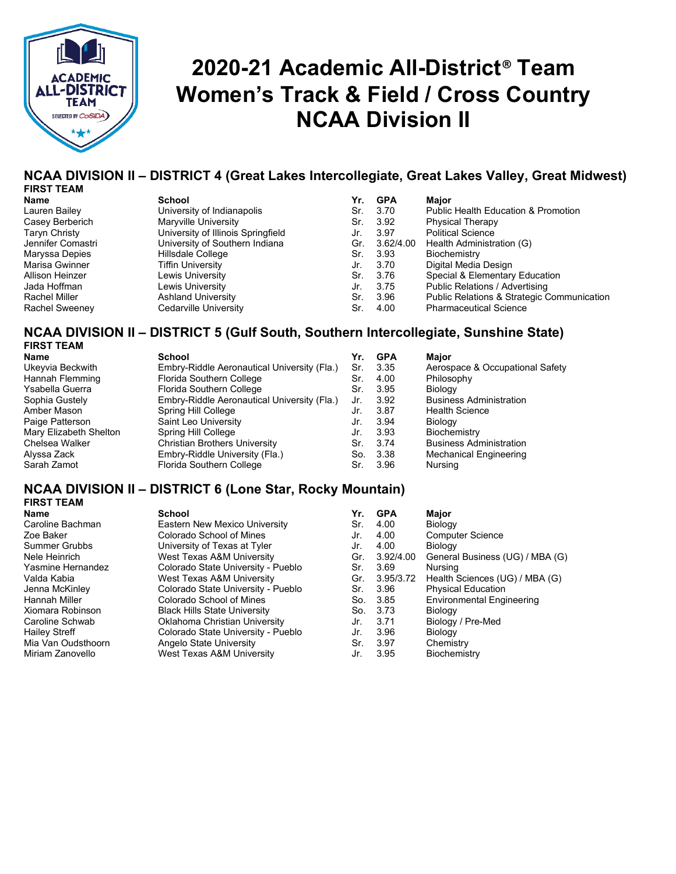

## **2020-21 Academic All-District**® **Team Women's Track & Field / Cross Country NCAA Division II**

### **NCAA DIVISION II – DISTRICT 4 (Great Lakes Intercollegiate, Great Lakes Valley, Great Midwest) FIRST TEAM**

| .,<br>۰. |  |
|----------|--|
|          |  |

Casey Berberich Taryn Christy Jennifer Comastri Maryssa Depies Marisa Gwinner Rachel Sweeney

| FIRƏI IEAM        |                                    |     |            |                                                       |
|-------------------|------------------------------------|-----|------------|-------------------------------------------------------|
| Name              | <b>School</b>                      | Yr. | <b>GPA</b> | Maior                                                 |
| Lauren Bailey     | University of Indianapolis         | Sr. | 3.70       | <b>Public Health Education &amp; Promotion</b>        |
| Casey Berberich   | Maryville University               | Sr. | 3.92       | <b>Physical Therapy</b>                               |
| Taryn Christy     | University of Illinois Springfield | Jr. | 3.97       | <b>Political Science</b>                              |
| Jennifer Comastri | University of Southern Indiana     | Gr. | 3.62/4.00  | Health Administration (G)                             |
| Maryssa Depies    | Hillsdale College                  | Sr. | 3.93       | Biochemistry                                          |
| Marisa Gwinner    | Tiffin University                  | Jr. | 3.70       | Digital Media Design                                  |
| Allison Heinzer   | Lewis University                   | Sr. | 3.76       | Special & Elementary Education                        |
| Jada Hoffman.     | Lewis University                   | Jr. | 3.75       | Public Relations / Advertising                        |
| Rachel Miller     | <b>Ashland University</b>          | Sr. | 3.96       | <b>Public Relations &amp; Strategic Communication</b> |
| Rachel Sweenev    | Cedarville University              | Sr. | 4.00       | <b>Pharmaceutical Science</b>                         |

### **NCAA DIVISION II – DISTRICT 5 (Gulf South, Southern Intercollegiate, Sunshine State) TEAM**

|  |  | ., | v |  |  |
|--|--|----|---|--|--|
|  |  |    |   |  |  |

| Name                   | <b>School</b>                               | Yr. | <b>GPA</b> | <b>Major</b>                    |
|------------------------|---------------------------------------------|-----|------------|---------------------------------|
| Ukeyvia Beckwith       | Embry-Riddle Aeronautical University (Fla.) | Sr. | 3.35       | Aerospace & Occupational Safety |
| Hannah Flemming        | Florida Southern College                    | Sr. | 4.00       | Philosophy                      |
| Ysabella Guerra        | Florida Southern College                    | Sr. | 3.95       | Biology                         |
| Sophia Gustely         | Embry-Riddle Aeronautical University (Fla.) | Jr. | 3.92       | <b>Business Administration</b>  |
| Amber Mason            | Spring Hill College                         | Jr. | 3.87       | <b>Health Science</b>           |
| Paige Patterson        | Saint Leo University                        | Jr. | 3.94       | Biology                         |
| Mary Elizabeth Shelton | Spring Hill College                         | Jr. | 3.93       | Biochemistry                    |
| Chelsea Walker         | Christian Brothers University               | Sr. | 3.74       | <b>Business Administration</b>  |
| Alyssa Zack            | Embry-Riddle University (Fla.)              | So. | 3.38       | <b>Mechanical Engineering</b>   |
| Sarah Zamot            | Florida Southern College                    | Sr. | 3.96       | Nursing                         |
|                        |                                             |     |            |                                 |

## **NCAA DIVISION II – DISTRICT 6 (Lone Star, Rocky Mountain)**

### **FIRST TEAM**

**Name School Yr. GPA Major** Caroline Bachman **Eastern New Mexico University** Sr. 4.00 Biology Zoe Baker Colorado School of Mines Jr. 4.00 Computer Science Summer Grubbs University of Texas at Tyler Jr. 4.00 Biology Yasmine Hernandez Colorado State University - Pueblo Sr. 3.69 Nursing Jenna McKinley Colorado State University - Pueblo Sr. 3.96<br>Hannah Miller Colorado School of Mines So. 3.85 Xiomara Robinson Black Hills State University So. 3.73 Biology Caroline Schwab Oklahoma Christian University Jr. 3.71 Biology / Pre-Med Hailey Streff Colorado State University - Pueblo Jr. 3.96 Biology Mia Van Oudsthoorn Angelo State University Sr. 3.97 Chemistry West Texas A&M University Jr.

General Business (UG) / MBA (G) Valda Kabia West Texas A&M University Gr. 3.95/3.72 Health Sciences (UG) / MBA (G) So. 3.85 Environmental Engineering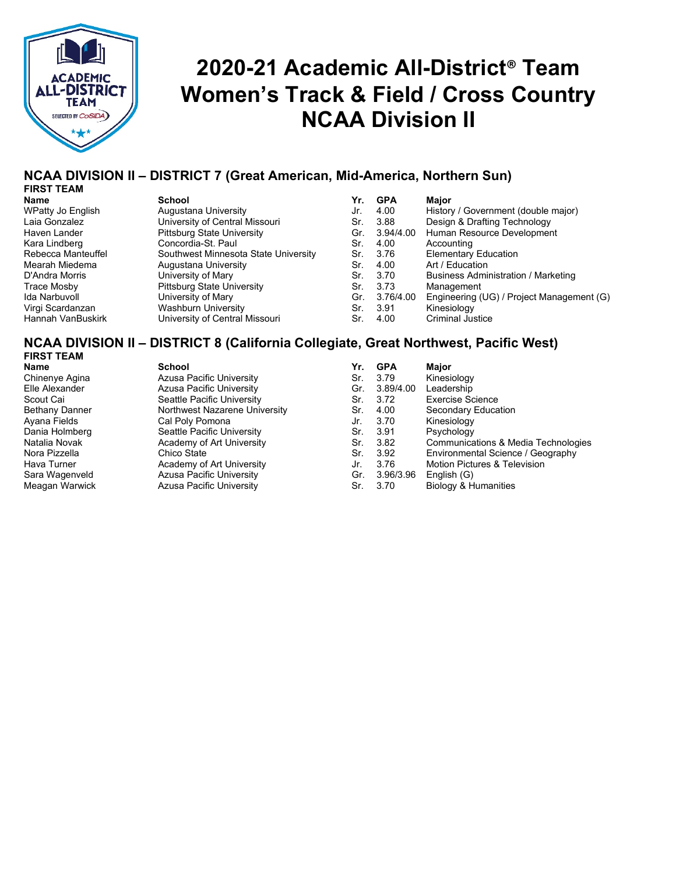

## **2020-21 Academic All-District**® **Team Women's Track & Field / Cross Country NCAA Division II**

### **NCAA DIVISION II – DISTRICT 7 (Great American, Mid-America, Northern Sun) FIRST TEAM**

| . .<br>.,<br>v |  |
|----------------|--|
|                |  |

WPatty Jo English Augustana University<br>Laia Gonzalez **Music Music University of Central** M Kara Lindberg Concordia-St. Paul Sr. 4.00 Accounting Mearah Miedema **Augustana University** D'Andra Morris **University of Mary Strategier Administration Communistration Communistration (D)**<br>Pittsburg State University Ida Narbuvoll University of Mary Gr. 3.76/4.00 Engineering (UG) / Project Management (G) Virgi Scardanzan **Washburn University**<br>Hannah VanBuskirk. 3.9.1 University of Central

**Name School Yr. GPA Major** University of Central Missouri Haven Lander Pittsburg State University Southwest Minnesota State University Trace Mosby **Pittsburg State University**<br> **Prime State University of Mary** University of Central Missouri

| .   | <b>. .</b> | majur                                      |
|-----|------------|--------------------------------------------|
| Jr. | 4.00       | History / Government (double major)        |
| Sr. | 3.88       | Design & Drafting Technology               |
| Gr. | 3.94/4.00  | Human Resource Development                 |
| Sr. | 4.00       | Accounting                                 |
| Sr. | 3.76       | <b>Elementary Education</b>                |
| Sr. | 4.00       | Art / Education                            |
| Sr. | 3.70       | <b>Business Administration / Marketing</b> |
| Sr. | 3.73       | Management                                 |
| Gr. | 3.76/4.00  | Engineering (UG) / Project Management (G)  |
| Sr. | 3.91       | Kinesiology                                |
| Sr. | 4.00       | <b>Criminal Justice</b>                    |

#### **NCAA DIVISION II – DISTRICT 8 (California Collegiate, Great Northwest, Pacific West) FIRST TEAM**

**Name School Yr. GPA Major** Chinenye Agina Azusa Pacific University Sr. 3.79 Kinesiology Seattle Pacific University Ayana Fields Cal Poly Pomona Jr. 3.70 Kinesiology Dania Holmberg Seattle Pacific University Sr. 3.91 Psychology Hava Turner **Academy of Art University** Jr. 3.76 Motion Pictures Academy of Art University **Television Contains Academy** of Art University Green Academy of Art Division Contains Series Series Contains Series Series Series Sara Wagenveld Azusa Pacific University Gr. 3.96/3.96 English (G) Azusa Pacific University **Narrow Sr. 3.70** Biology & Humanities

Elle Alexander Azusa Pacific University Gr. 3.89/4.00 Leadership Bethany Danner **Northwest Nazarene University** Sr. 4.00 Secondary Education Natalia Novak Academy of Art University Sr. 3.82 Communications & Media Technologies<br>Nora Pizzella Chico State Chico State Sr. 3.92 Environmental Science / Geography Nora Pizzella Chico State Sr. 3.92 Environmental Science / Geography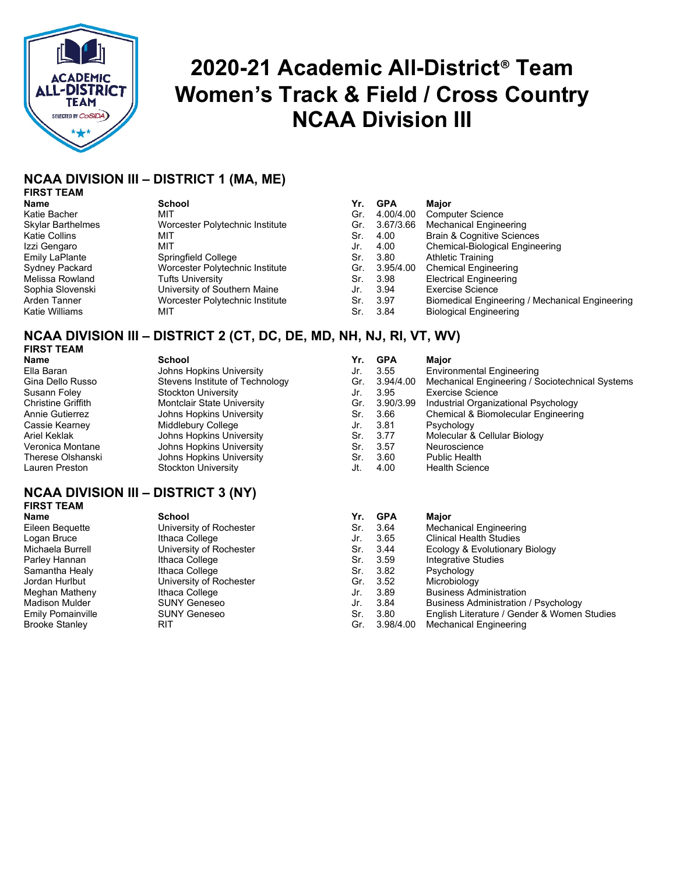

## **2020-21 Academic All-District**® **Team Women's Track & Field / Cross Country NCAA Division III**

## **NCAA DIVISION III – DISTRICT 1 (MA, ME)**

## **FIRST TEAM**

Skylar Barthelmes<br>Katie Collins Emily LaPlante Sydney Packard Melissa Rowland Sophia Slovenski<br>Arden Tanner Katie Williams

| .                 | -----                           |     |           | wav                                   |
|-------------------|---------------------------------|-----|-----------|---------------------------------------|
| Katie Bacher      | MIT                             | Gr. | 4.00/4.00 | <b>Computer Science</b>               |
| Skylar Barthelmes | Worcester Polytechnic Institute | Gr. | 3.67/3.66 | Mechanical Engineering                |
| Katie Collins     | MIT                             | Sr. | 4.00      | <b>Brain &amp; Cognitive Sciences</b> |
| Izzi Gengaro      | MIT                             | Jr. | 4.00      | Chemical-Biological Engine            |
| Emily LaPlante    | Springfield College             | Sr. | 3.80      | Athletic Training                     |
| Sydney Packard    | Worcester Polytechnic Institute | Gr. | 3.95/4.00 | <b>Chemical Engineering</b>           |
| Melissa Rowland   | <b>Tufts University</b>         | Sr. | 3.98      | <b>Electrical Engineering</b>         |
| Sophia Slovenski  | University of Southern Maine    | Jr. | 3.94      | <b>Exercise Science</b>               |
| Arden Tanner      | Worcester Polytechnic Institute | Sr. | -3.97     | Biomedical Engineering / M            |
| Katie Williams    | міт                             | Sr. | -3.84     | <b>Biological Engineering</b>         |

| <b>School</b>                   | Yr. | <b>GPA</b> | Major                                                       |
|---------------------------------|-----|------------|-------------------------------------------------------------|
| MIT                             | Gr. |            | <b>Computer Science</b>                                     |
| Worcester Polytechnic Institute | Gr. |            | Mechanical Engineering                                      |
| MIT                             | Sr. |            | <b>Brain &amp; Cognitive Sciences</b>                       |
| MIT                             | Jr. | 4.00       | Chemical-Biological Engineering                             |
| Springfield College             | Sr. | 3.80       | <b>Athletic Training</b>                                    |
| Worcester Polytechnic Institute | Gr. |            | <b>Chemical Engineering</b>                                 |
| <b>Tufts University</b>         | Sr. |            | <b>Electrical Engineering</b>                               |
| University of Southern Maine    | Jr. | 3.94       | <b>Exercise Science</b>                                     |
| Worcester Polytechnic Institute | Sr. |            | Biomedical Engineering / Mechanical Engineering             |
| MIT                             | Sr. | 3.84       | <b>Biological Engineering</b>                               |
|                                 |     |            | 4.00/4.00<br>3.67/3.66<br>4.00<br>3.95/4.00<br>3.98<br>3.97 |

## **NCAA DIVISION III – DISTRICT 2 (CT, DC, DE, MD, NH, NJ, RI, VT, WV)**

**FIRST TEAM**

| งนเบบเ                            |
|-----------------------------------|
| Johns Hopkins University          |
| Stevens Institute of Technolog    |
| Stockton University               |
| <b>Montclair State University</b> |
| <b>Johns Hopkins University</b>   |
| Middlebury College                |
| <b>Johns Hopkins University</b>   |
| <b>Johns Hopkins University</b>   |
| <b>Johns Hopkins University</b>   |
| <b>Stockton University</b>        |
|                                   |

## **NCAA DIVISION III – DISTRICT 3 (NY) FIRST TEAM**

| Name               | <b>School</b>                     | Yr. | GPA       | Maior                                           |
|--------------------|-----------------------------------|-----|-----------|-------------------------------------------------|
| Ella Baran         | Johns Hopkins University          | Jr. | 3.55      | <b>Environmental Engineering</b>                |
| Gina Dello Russo   | Stevens Institute of Technology   | Gr. | 3.94/4.00 | Mechanical Engineering / Sociotechnical Systems |
| Susann Foley       | <b>Stockton University</b>        | Jr. | 3.95      | <b>Exercise Science</b>                         |
| Christine Griffith | <b>Montclair State University</b> | Gr. | 3.90/3.99 | Industrial Organizational Psychology            |
| Annie Gutierrez    | Johns Hopkins University          | Sr. | 3.66      | Chemical & Biomolecular Engineering             |
| Cassie Kearnev     | Middlebury College                | Jr. | 3.81      | Psychology                                      |
| Ariel Keklak       | Johns Hopkins University          | Sr. | 3.77      | Molecular & Cellular Biology                    |
| Veronica Montane   | Johns Hopkins University          | Sr. | 3.57      | Neuroscience                                    |
| Therese Olshanski  | Johns Hopkins University          | Sr. | 3.60      | <b>Public Health</b>                            |
| Lauren Preston     | <b>Stockton University</b>        | Jt. | 4.00      | <b>Health Science</b>                           |

| <b>FIRST TEAM</b>        |                         |     |           |                                             |
|--------------------------|-------------------------|-----|-----------|---------------------------------------------|
| Name                     | <b>School</b>           | Yr. | GPA       | Maior                                       |
| Eileen Bequette          | University of Rochester | Sr. | 3.64      | Mechanical Engineering                      |
| Logan Bruce              | Ithaca College          | Jr. | 3.65      | <b>Clinical Health Studies</b>              |
| Michaela Burrell         | University of Rochester | Sr. | 3.44      | Ecology & Evolutionary Biology              |
| Parley Hannan            | Ithaca College          | Sr. | -3.59     | Integrative Studies                         |
| Samantha Healy           | Ithaca College          | Sr. | -3.82     | Psychology                                  |
| Jordan Hurlbut           | University of Rochester | Gr. | -3.52     | Microbiology                                |
| Meghan Matheny           | Ithaca College          | Jr. | 3.89      | <b>Business Administration</b>              |
| <b>Madison Mulder</b>    | <b>SUNY Geneseo</b>     | Jr. | 3.84      | <b>Business Administration / Psychology</b> |
| <b>Emily Pomainville</b> | <b>SUNY Geneseo</b>     | Sr. | 3.80      | English Literature / Gender & Women Studies |
| <b>Brooke Stanley</b>    | RIT                     | Gr. | 3.98/4.00 | Mechanical Engineering                      |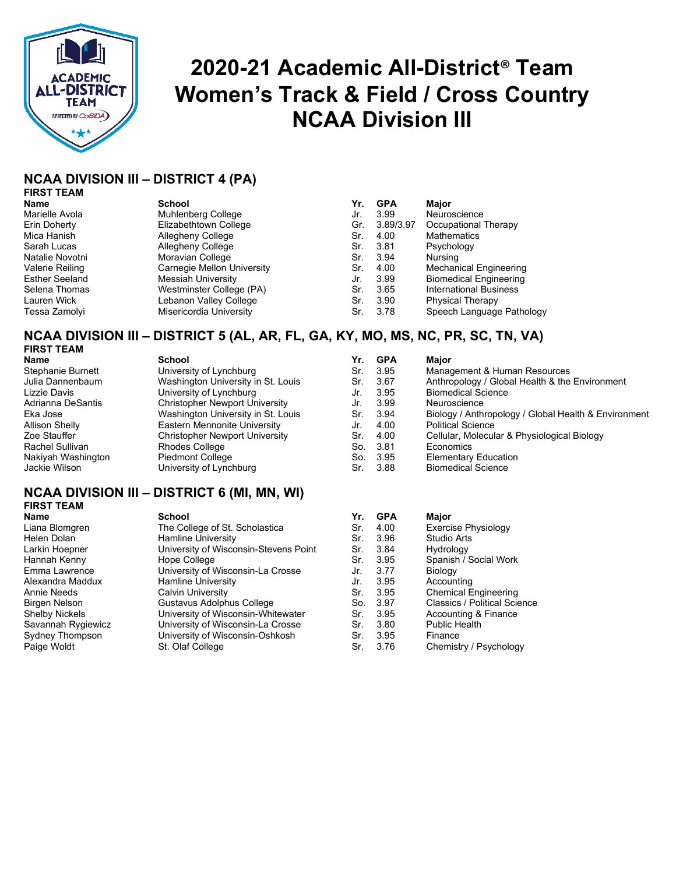

## **2020-21 Academic All-District**® **Team Women's Track & Field / Cross Country NCAA Division III**

## **NCAA DIVISION III – DISTRICT 4 (PA)**

## **FIRST TEAM**

**Name School Yr. GPA Major** Marielle Avola Muhlenberg College<br>
Elizabethtown Collec Erin Doherty Elizabethtown College<br>
Mica Hanish **Allegheny College** Allegheny College Sarah Lucas Allegheny College Sr. 3.81 Psychology Natalie Novotni Moravian College<br>
Valerie Reiling Carnegie Mellon L Carnegie Mellon University Esther Seeland Messiah University<br>Selena Thomas Mestminster Collect Westminster College (PA) Lauren Wick **Lebanon Valley College** 

| Name                  | School                     | Yr. | <b>GPA</b> | Major                         |
|-----------------------|----------------------------|-----|------------|-------------------------------|
| Marielle Avola        | Muhlenberg College         | Jr. | 3.99       | Neuroscience                  |
| Erin Doherty          | Elizabethtown College      | Gr. | 3.89/3.97  | Occupational Therapy          |
| Mica Hanish           | Allegheny College          | Sr. | 4.00       | <b>Mathematics</b>            |
| Sarah Lucas           | Allegheny College          | Sr. | 3.81       | Psychology                    |
| Natalie Novotni       | Moravian College           | Sr. | 3.94       | Nursing                       |
| Valerie Reiling       | Carnegie Mellon University | Sr. | 4.00       | <b>Mechanical Engineering</b> |
| <b>Esther Seeland</b> | Messiah University         | Jr. | 3.99       | <b>Biomedical Engineering</b> |
| Selena Thomas         | Westminster College (PA)   | Sr. | 3.65       | <b>International Business</b> |
| Lauren Wick           | Lebanon Valley College     | Sr. | 3.90       | <b>Physical Therapy</b>       |
| Tessa Zamolvi         | Misericordia University    | Sr. | 3.78       | Speech Language Pathology     |

## **NCAA DIVISION III – DISTRICT 5 (AL, AR, FL, GA, KY, MO, MS, NC, PR, SC, TN, VA)**

## **FIRST TEAM**

Rachel Sullivan **Rhodes College**<br>
Nakiyah Washington Piedmont College Nakiyah Washington<br>Jackie Wilson

**Name School Yr. GPA Major** Stephanie Burnett **University of Lynchburg**<br>
Julia Dannenbaum **Management Washington University** in Washington University in St. Louis Lizzie Davis **Dick Lynchburg**<br>Adrianna DeSantis **Adrian** Christopher Newport Un Adrianna DeSantis Christopher Newport University<br>Eka Jose Christopher Washington University in St. Lo Allison Shelly **Eastern Mennonite University**<br> **Zoe Stauffer Eastern Christopher Newport University** Christopher Newport University

| name               | pcnool                                |     | II. GPA       | maior                                                |
|--------------------|---------------------------------------|-----|---------------|------------------------------------------------------|
| Stephanie Burnett  | University of Lynchburg               | Sr. | 3.95          | Management & Human Resources                         |
| Julia Dannenbaum   | Washington University in St. Louis    | Sr. | 3.67          | Anthropology / Global Health & the Environment       |
| Lizzie Davis       | University of Lynchburg               | Jr. | 3.95          | <b>Biomedical Science</b>                            |
| Adrianna DeSantis  | <b>Christopher Newport University</b> | Jr. | 3.99          | Neuroscience                                         |
| Eka Jose           | Washington University in St. Louis    | Sr. | 3.94          | Biology / Anthropology / Global Health & Environment |
| Allison Shelly     | Eastern Mennonite University          | Jr. | 4.00          | <b>Political Science</b>                             |
| Zoe Stauffer       | <b>Christopher Newport University</b> | Sr. | 4.00          | Cellular, Molecular & Physiological Biology          |
| Rachel Sullivan    | Rhodes College                        | So. | - 3.81        | Economics                                            |
| Nakiyah Washington | <b>Piedmont College</b>               | So. | - 3.95        | <b>Elementary Education</b>                          |
|                    |                                       |     | $\sim$ $\sim$ | .                                                    |

### University of Lynchburg Channel St. 3.88 Biomedical Science

## **NCAA DIVISION III – DISTRICT 6 (MI, MN, WI) FIRST TEAM**

| Liana Blomgren     | The College of St. Scholastica        | Sr. | 4.00  | Exercise Physiology          |
|--------------------|---------------------------------------|-----|-------|------------------------------|
| Helen Dolan        | Hamline University                    | Sr. | 3.96  | <b>Studio Arts</b>           |
| Larkin Hoepner     | University of Wisconsin-Stevens Point | Sr. | 3.84  | Hydrology                    |
| Hannah Kenny       | Hope College                          | Sr. | 3.95  | Spanish / Social Work        |
| Emma Lawrence      | University of Wisconsin-La Crosse     | Jr. | 3.77  | Biology                      |
| Alexandra Maddux   | <b>Hamline University</b>             | Jr. | 3.95  | Accounting                   |
| Annie Needs        | Calvin University                     | Sr. | 3.95  | <b>Chemical Engineering</b>  |
| Birgen Nelson      | Gustavus Adolphus College             | So. | -3.97 | Classics / Political Science |
| Shelby Nickels     | University of Wisconsin-Whitewater    | Sr. | 3.95  | Accounting & Finance         |
| Savannah Rygiewicz | University of Wisconsin-La Crosse     | Sr. | 3.80  | Public Health                |
| Sydney Thompson    | University of Wisconsin-Oshkosh       | Sr. | 3.95  | Finance                      |
| Paige Woldt        | St. Olaf College                      | Sr. | 3.76  | Chemistry / Psychology       |
|                    |                                       |     |       |                              |

| Name               | <b>School</b>                         | Yr. | <b>GPA</b> | <b>Major</b>                |
|--------------------|---------------------------------------|-----|------------|-----------------------------|
| Liana Blomgren     | The College of St. Scholastica        | Sr. | 4.00       | <b>Exercise Physiology</b>  |
| Helen Dolan        | <b>Hamline University</b>             | Sr. | 3.96       | <b>Studio Arts</b>          |
| Larkin Hoepner     | University of Wisconsin-Stevens Point | Sr. | 3.84       | Hydrology                   |
| Hannah Kenny       | Hope College                          | Sr. | 3.95       | Spanish / Social Work       |
| Emma Lawrence      | University of Wisconsin-La Crosse     | Jr. | 3.77       | Biology                     |
| Alexandra Maddux   | <b>Hamline University</b>             | Jr. | 3.95       | Accounting                  |
| Annie Needs        | Calvin University                     | Sr. | 3.95       | <b>Chemical Engineering</b> |
| Birgen Nelson      | Gustavus Adolphus College             | So. | 3.97       | Classics / Political Scien  |
| Shelby Nickels     | University of Wisconsin-Whitewater    | Sr. | 3.95       | Accounting & Finance        |
| Savannah Rygiewicz | University of Wisconsin-La Crosse     | Sr. | 3.80       | <b>Public Health</b>        |
| Sydney Thompson    | University of Wisconsin-Oshkosh       | Sr. | 3.95       | Finance                     |
| Paige Woldt        | St. Olaf College                      | Sr. | 3.76       | Chemistry / Psychology      |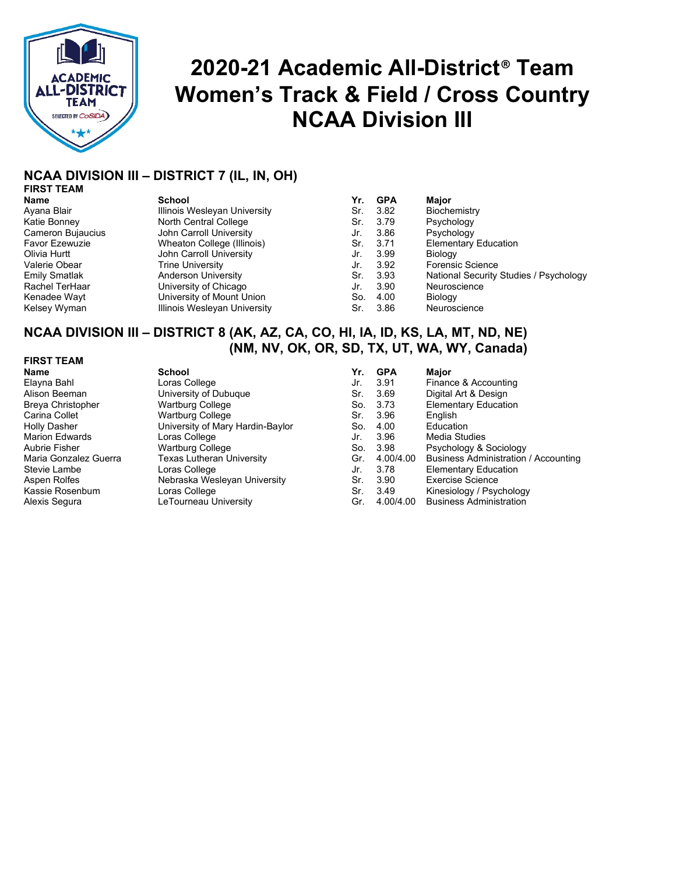

## **2020-21 Academic All-District**® **Team Women's Track & Field / Cross Country NCAA Division III**

## **NCAA DIVISION III – DISTRICT 7 (IL, IN, OH)**

| <b>FIRST TEAM</b> |  |
|-------------------|--|
| <b>Name</b>       |  |
| $\Lambda$ Distri  |  |

Valerie Obear Trine University

**Name School Yr. GPA Major** Ayana Blair **Illinois Wesleyan University** Katie Bonney North Central College Cameron Bujaucius John Carroll University Favor Ezewuzie **Michary Wheaton College (Illinois)**<br>
Olivia Hurtt **St. 3.71 Elementary Education**<br>

Subhicarroll University John Carroll University Rachel TerHaar **Brach University of Chicago**<br>
Kenadee Wayt **New University of Mount University** Kenadee Wayt University of Mount Union So. 4.00 Biology Illinois Wesleyan University **Sr. 3.86** Neuroscience

| <b>NATIE</b>                                     | וטטווטט                      |     | 11. V.M              | <b>IVIQIUI</b>                         |
|--------------------------------------------------|------------------------------|-----|----------------------|----------------------------------------|
| Ayana Blair                                      | Illinois Wesleyan University | Sr. | -3.82                | Biochemistry                           |
| Katie Bonney                                     | North Central College        | Sr. | 3.79                 | Psychology                             |
| Cameron Bujaucius                                | John Carroll University      | Jr. | 3.86                 | Psychology                             |
| <b>Favor Ezewuzie</b>                            | Wheaton College (Illinois)   | Sr. | -3.71                | <b>Elementary Education</b>            |
| Olivia Hurtt                                     | John Carroll University      | Jr. | 3.99                 | Biology                                |
| Valerie Obear                                    | Trine University             | Jr. | 3.92                 | <b>Forensic Science</b>                |
| <b>Emily Smatlak</b>                             | Anderson University          | Sr. | 3.93                 | National Security Studies / Psychology |
| Rachel TerHaar                                   | University of Chicago        | Jr. | 3.90                 | Neuroscience                           |
| Kenadee Wayt                                     | University of Mount Union    | So. | 4.00                 | Biology                                |
| $\mathcal{V}$ alaa $\mathcal{V}$ , $\mathcal{M}$ | Illingia Maglavan Llubrandhr |     | $\sim$ $\sim$ $\sim$ |                                        |

## **NCAA DIVISION III – DISTRICT 8 (AK, AZ, CA, CO, HI, IA, ID, KS, LA, MT, ND, NE) (NM, NV, OK, OR, SD, TX, UT, WA, WY, Canada)**

#### **FIRST TEAM**

**Name School Yr. GPA Major** Loras College University of Dubuque **Wartburg College** Wartburg College University of Mary Hardin-Baylor Loras College Wartburg College Texas Lutheran University<br>Loras College Stevie Lambe Loras College Jr. 3.78 Elementary Education Nebraska Wesleyan University Loras College LeTourneau University

| Yr.   | <b>GPA</b> | Major                                |
|-------|------------|--------------------------------------|
| Jr.   | 3.91       | Finance & Accounting                 |
| Sr.   | 3.69       | Digital Art & Design                 |
| So.   | 3.73       | <b>Elementary Education</b>          |
| Sr.   | 3.96       | English                              |
| So.   | 4.00       | Education                            |
| Jr.   | 3.96       | Media Studies                        |
| So.   | 3.98       | Psychology & Sociology               |
| Gr.   | 4.00/4.00  | Business Administration / Accounting |
| Jr.   | 3.78       | <b>Elementary Education</b>          |
| Sr.   | 3.90       | <b>Exercise Science</b>              |
| Sr. I | 3.49       | Kinesiology / Psychology             |
| Gr.   | 4.00/4.00  | <b>Business Administration</b>       |
|       |            |                                      |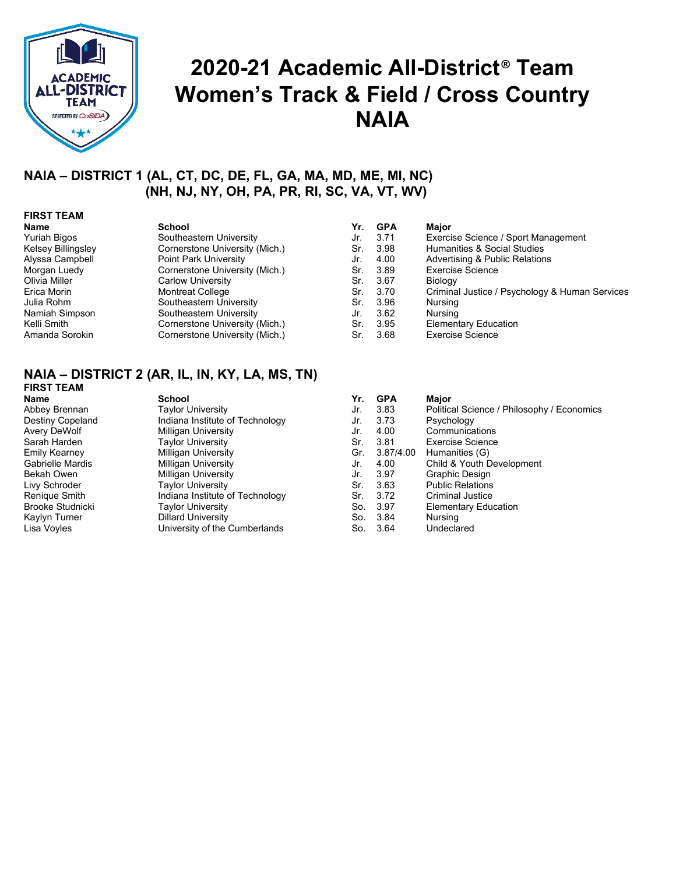

## **2020-21 Academic All-District**® **Team Women's Track & Field / Cross Country NAIA**

## **NAIA – DISTRICT 1 (AL, CT, DC, DE, FL, GA, MA, MD, ME, MI, NC) (NH, NJ, NY, OH, PA, PR, RI, SC, VA, VT, WV)**

## **FIRST TEAM**

#### **Name School Yr. GPA Major** Yuriah Bigos Southeastern University Jr. 3.71 Exercise Science / Sport Management Cornerstone University (Mich.) Alyssa Campbell Point Park University Jr. 4.00 Advertising & Public Relations Morgan Luedy Cornerstone University (Mich.) Sr. 3.89 Exercise Science Olivia Miller Carlow University Sr. 3.67 Biology Erica Morin Montreat College Sr. 3.70 Criminal Justice / Psychology & Human Services Julia Rohm Southeastern University Sr. 3.96 Nursing Namiah Simpson Southeastern University (Mich.) Jr. 3.62 Nursing<br>
Kelli Smith Southeastern University (Mich.) Sr. 3.95 Elementary Education Kelli Smith **Cornerstone University (Mich.)** Sr. 3.95 Elementary Education Cornerstone University (Mich.) Sr. 3.68 Exercise Science Cornerstone University (Mich.)

## **NAIA – DISTRICT 2 (AR, IL, IN, KY, LA, MS, TN)**

| <b>FIRST TEAM</b>       |                                 |     |            |                               |
|-------------------------|---------------------------------|-----|------------|-------------------------------|
| <b>Name</b>             | <b>School</b>                   | Yr. | <b>GPA</b> | Major                         |
| Abbey Brennan           | <b>Taylor University</b>        | Jr. | 3.83       | Political Science / Philosoph |
| <b>Destiny Copeland</b> | Indiana Institute of Technology | Jr. | 3.73       | Psychology                    |
| Avery DeWolf            | Milligan University             | Jr. | 4.00       | Communications                |
| Sarah Harden            | <b>Taylor University</b>        | Sr. | -3.81      | Exercise Science              |
| <b>Emily Kearney</b>    | Milligan University             | Gr. | 3.87/4.00  | Humanities (G)                |
| <b>Gabrielle Mardis</b> | Milligan University             | Jr. | 4.00       | Child & Youth Development     |
| Bekah Owen              | Milligan University             | Jr. | 3.97       | Graphic Design                |
| Livy Schroder           | <b>Taylor University</b>        | Sr. | 3.63       | <b>Public Relations</b>       |
| Renique Smith           | Indiana Institute of Technology | Sr. | 3.72       | <b>Criminal Justice</b>       |
| <b>Brooke Studnicki</b> | <b>Taylor University</b>        | So. | -3.97      | <b>Elementary Education</b>   |
| Kaylyn Turner           | <b>Dillard University</b>       | So. | 3.84       | Nursing                       |
| Lisa Voyles             | University of the Cumberlands   | So. | -3.64      | Undeclared                    |

| FIRSI IEAM       |                                 |     |            |                                            |
|------------------|---------------------------------|-----|------------|--------------------------------------------|
| Name             | <b>School</b>                   | Yr. | <b>GPA</b> | Major                                      |
| Abbey Brennan    | <b>Taylor University</b>        | Jr. | 3.83       | Political Science / Philosophy / Economics |
| Destiny Copeland | Indiana Institute of Technology | Jr. | 3.73       | Psychology                                 |
| Avery DeWolf     | Milligan University             | Jr. | 4.00       | Communications                             |
| Sarah Harden     | <b>Taylor University</b>        | Sr. | 3.81       | Exercise Science                           |
| Emily Kearney    | Milligan University             | Gr. | 3.87/4.00  | Humanities (G)                             |
| Gabrielle Mardis | <b>Milligan University</b>      | Jr. | 4.00       | Child & Youth Development                  |
| Bekah Owen       | Milligan University             | Jr. | 3.97       | Graphic Design                             |
| Livy Schroder    | <b>Taylor University</b>        | Sr. | 3.63       | <b>Public Relations</b>                    |
| Renique Smith    | Indiana Institute of Technology | Sr. | 3.72       | <b>Criminal Justice</b>                    |
| Brooke Studnicki | Taylor University               |     | So. 3.97   | <b>Elementary Education</b>                |
| Kaylyn Turner    | <b>Dillard University</b>       |     | So. 3.84   | Nursing                                    |
| Lisa Voyles      | University of the Cumberlands   | So. | -3.64      | Undeclared                                 |
|                  |                                 |     |            |                                            |